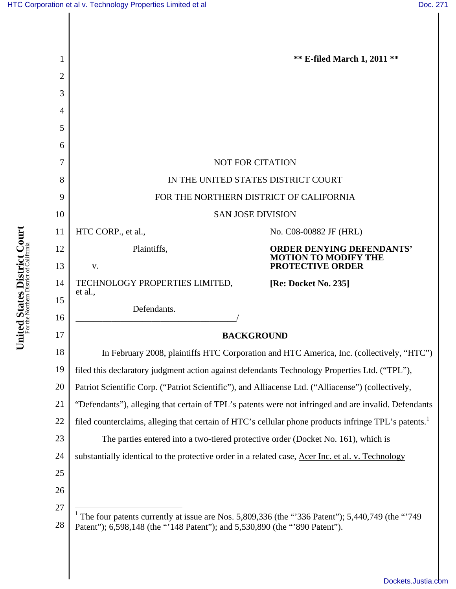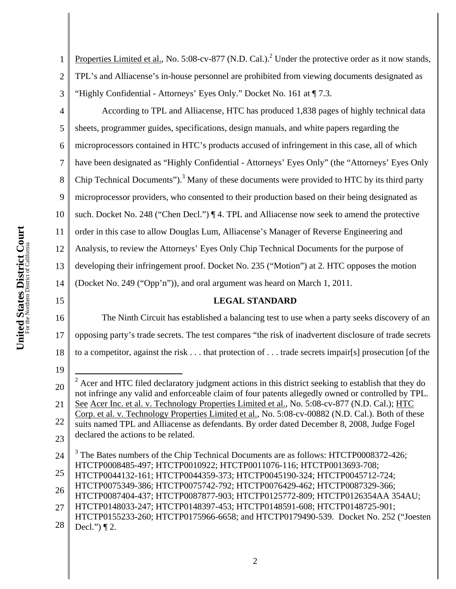1 2 3 Properties Limited et al., No. 5:08-cv-877 (N.D. Cal.).<sup>2</sup> Under the protective order as it now stands, TPL's and Alliacense's in-house personnel are prohibited from viewing documents designated as "Highly Confidential - Attorneys' Eyes Only." Docket No. 161 at ¶ 7.3.

4

5 6 7 8 9 10 11 12 13 14 According to TPL and Alliacense, HTC has produced 1,838 pages of highly technical data sheets, programmer guides, specifications, design manuals, and white papers regarding the microprocessors contained in HTC's products accused of infringement in this case, all of which have been designated as "Highly Confidential - Attorneys' Eyes Only" (the "Attorneys' Eyes Only Chip Technical Documents"). $3$  Many of these documents were provided to HTC by its third party microprocessor providers, who consented to their production based on their being designated as such. Docket No. 248 ("Chen Decl.") ¶ 4. TPL and Alliacense now seek to amend the protective order in this case to allow Douglas Lum, Alliacense's Manager of Reverse Engineering and Analysis, to review the Attorneys' Eyes Only Chip Technical Documents for the purpose of developing their infringement proof. Docket No. 235 ("Motion") at 2. HTC opposes the motion (Docket No. 249 ("Opp'n")), and oral argument was heard on March 1, 2011.

# **LEGAL STANDARD**

16 17 18 The Ninth Circuit has established a balancing test to use when a party seeks discovery of an opposing party's trade secrets. The test compares "the risk of inadvertent disclosure of trade secrets to a competitor, against the risk . . . that protection of . . . trade secrets impair[s] prosecution [of the

19

15

<sup>20</sup> 21 22 23 <sup>2</sup> Acer and HTC filed declaratory judgment actions in this district seeking to establish that they do not infringe any valid and enforceable claim of four patents allegedly owned or controlled by TPL. See Acer Inc. et al. v. Technology Properties Limited et al., No. 5:08-cv-877 (N.D. Cal.); HTC Corp. et al. v. Technology Properties Limited et al., No. 5:08-cv-00882 (N.D. Cal.). Both of these suits named TPL and Alliacense as defendants. By order dated December 8, 2008, Judge Fogel declared the actions to be related.

<sup>24</sup> <sup>3</sup> The Bates numbers of the Chip Technical Documents are as follows: HTCTP0008372-426; HTCTP0008485-497; HTCTP0010922; HTCTP0011076-116; HTCTP0013693-708;

<sup>25</sup>

HTCTP0044132-161; HTCTP0044359-373; HTCTP0045190-324; HTCTP0045712-724;

<sup>26</sup> HTCTP0075349-386; HTCTP0075742-792; HTCTP0076429-462; HTCTP0087329-366; HTCTP0087404-437; HTCTP0087877-903; HTCTP0125772-809; HTCTP0126354AA 354AU;

<sup>27</sup> HTCTP0148033-247; HTCTP0148397-453; HTCTP0148591-608; HTCTP0148725-901;

<sup>28</sup> HTCTP0155233-260; HTCTP0175966-6658; and HTCTP0179490-539. Docket No. 252 ("Joesten Decl.")  $\P$  2.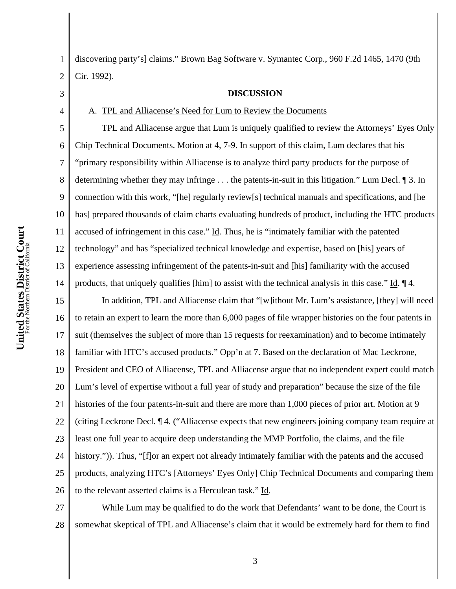3

4

5

6

7

8

9

10

11

12

13

14

1 2 discovering party's] claims." Brown Bag Software v. Symantec Corp., 960 F.2d 1465, 1470 (9th Cir. 1992).

**DISCUSSION** 

# A. TPL and Alliacense's Need for Lum to Review the Documents

TPL and Alliacense argue that Lum is uniquely qualified to review the Attorneys' Eyes Only Chip Technical Documents. Motion at 4, 7-9. In support of this claim, Lum declares that his "primary responsibility within Alliacense is to analyze third party products for the purpose of determining whether they may infringe . . . the patents-in-suit in this litigation." Lum Decl. ¶ 3. In connection with this work, "[he] regularly review[s] technical manuals and specifications, and [he has] prepared thousands of claim charts evaluating hundreds of product, including the HTC products accused of infringement in this case." Id. Thus, he is "intimately familiar with the patented technology" and has "specialized technical knowledge and expertise, based on [his] years of experience assessing infringement of the patents-in-suit and [his] familiarity with the accused products, that uniquely qualifies [him] to assist with the technical analysis in this case." Id. ¶ 4.

15 16 17 18 19 20 21 22 23 24 25 26 In addition, TPL and Alliacense claim that "[w]ithout Mr. Lum's assistance, [they] will need to retain an expert to learn the more than 6,000 pages of file wrapper histories on the four patents in suit (themselves the subject of more than 15 requests for reexamination) and to become intimately familiar with HTC's accused products." Opp'n at 7. Based on the declaration of Mac Leckrone, President and CEO of Alliacense, TPL and Alliacense argue that no independent expert could match Lum's level of expertise without a full year of study and preparation" because the size of the file histories of the four patents-in-suit and there are more than 1,000 pieces of prior art. Motion at 9 (citing Leckrone Decl. ¶ 4. ("Alliacense expects that new engineers joining company team require at least one full year to acquire deep understanding the MMP Portfolio, the claims, and the file history.")). Thus, "[f]or an expert not already intimately familiar with the patents and the accused products, analyzing HTC's [Attorneys' Eyes Only] Chip Technical Documents and comparing them to the relevant asserted claims is a Herculean task." Id.

27 28 While Lum may be qualified to do the work that Defendants' want to be done, the Court is somewhat skeptical of TPL and Alliacense's claim that it would be extremely hard for them to find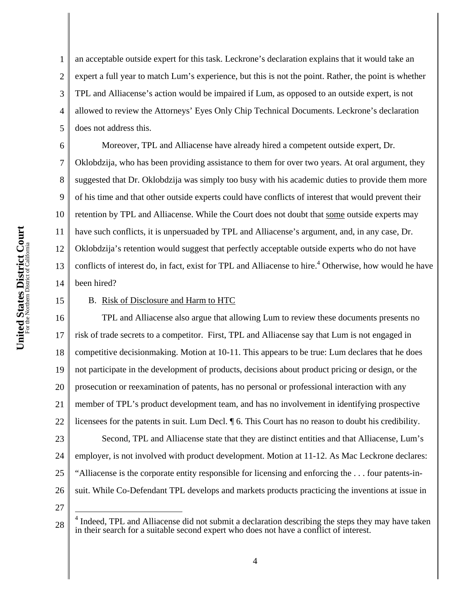2 3 4 5 an acceptable outside expert for this task. Leckrone's declaration explains that it would take an expert a full year to match Lum's experience, but this is not the point. Rather, the point is whether TPL and Alliacense's action would be impaired if Lum, as opposed to an outside expert, is not allowed to review the Attorneys' Eyes Only Chip Technical Documents. Leckrone's declaration does not address this.

6 7 8 9 10 11 12 13 14 Moreover, TPL and Alliacense have already hired a competent outside expert, Dr. Oklobdzija, who has been providing assistance to them for over two years. At oral argument, they suggested that Dr. Oklobdzija was simply too busy with his academic duties to provide them more of his time and that other outside experts could have conflicts of interest that would prevent their retention by TPL and Alliacense. While the Court does not doubt that some outside experts may have such conflicts, it is unpersuaded by TPL and Alliacense's argument, and, in any case, Dr. Oklobdzija's retention would suggest that perfectly acceptable outside experts who do not have conflicts of interest do, in fact, exist for TPL and Alliacense to hire.<sup>4</sup> Otherwise, how would he have been hired?

#### 15

1

# B. Risk of Disclosure and Harm to HTC

16 17 18 19 20 21 22 TPL and Alliacense also argue that allowing Lum to review these documents presents no risk of trade secrets to a competitor. First, TPL and Alliacense say that Lum is not engaged in competitive decisionmaking. Motion at 10-11. This appears to be true: Lum declares that he does not participate in the development of products, decisions about product pricing or design, or the prosecution or reexamination of patents, has no personal or professional interaction with any member of TPL's product development team, and has no involvement in identifying prospective licensees for the patents in suit. Lum Decl. ¶ 6. This Court has no reason to doubt his credibility.

23 24 25 26 Second, TPL and Alliacense state that they are distinct entities and that Alliacense, Lum's employer, is not involved with product development. Motion at 11-12. As Mac Leckrone declares: "Alliacense is the corporate entity responsible for licensing and enforcing the . . . four patents-insuit. While Co-Defendant TPL develops and markets products practicing the inventions at issue in

27

 $\overline{a}$ 

<sup>28</sup> <sup>4</sup> Indeed, TPL and Alliacense did not submit a declaration describing the steps they may have taken in their search for a suitable second expert who does not have a conflict of interest.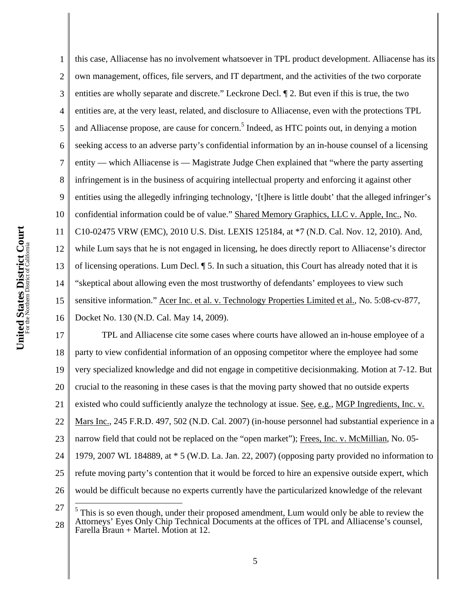$\overline{a}$ 

1 2 3 4 5 6 7 8 9 10 11 12 13 14 15 16 this case, Alliacense has no involvement whatsoever in TPL product development. Alliacense has its own management, offices, file servers, and IT department, and the activities of the two corporate entities are wholly separate and discrete." Leckrone Decl. ¶ 2. But even if this is true, the two entities are, at the very least, related, and disclosure to Alliacense, even with the protections TPL and Alliacense propose, are cause for concern.<sup>5</sup> Indeed, as HTC points out, in denying a motion seeking access to an adverse party's confidential information by an in-house counsel of a licensing entity — which Alliacense is — Magistrate Judge Chen explained that "where the party asserting infringement is in the business of acquiring intellectual property and enforcing it against other entities using the allegedly infringing technology, '[t]here is little doubt' that the alleged infringer's confidential information could be of value." Shared Memory Graphics, LLC v. Apple, Inc., No. C10-02475 VRW (EMC), 2010 U.S. Dist. LEXIS 125184, at \*7 (N.D. Cal. Nov. 12, 2010). And, while Lum says that he is not engaged in licensing, he does directly report to Alliacense's director of licensing operations. Lum Decl. ¶ 5. In such a situation, this Court has already noted that it is "skeptical about allowing even the most trustworthy of defendants' employees to view such sensitive information." Acer Inc. et al. v. Technology Properties Limited et al., No. 5:08-cv-877, Docket No. 130 (N.D. Cal. May 14, 2009).

17 18 19 20 21 22 23 24 25 26 TPL and Alliacense cite some cases where courts have allowed an in-house employee of a party to view confidential information of an opposing competitor where the employee had some very specialized knowledge and did not engage in competitive decisionmaking. Motion at 7-12. But crucial to the reasoning in these cases is that the moving party showed that no outside experts existed who could sufficiently analyze the technology at issue. See, e.g., MGP Ingredients, Inc. v. Mars Inc., 245 F.R.D. 497, 502 (N.D. Cal. 2007) (in-house personnel had substantial experience in a narrow field that could not be replaced on the "open market"); Frees, Inc. v. McMillian, No. 05- 1979, 2007 WL 184889, at \* 5 (W.D. La. Jan. 22, 2007) (opposing party provided no information to refute moving party's contention that it would be forced to hire an expensive outside expert, which would be difficult because no experts currently have the particularized knowledge of the relevant

<sup>27</sup> 28  $<sup>5</sup>$  This is so even though, under their proposed amendment, Lum would only be able to review the</sup> Attorneys' Eyes Only Chip Technical Documents at the offices of TPL and Alliacense's counsel, Farella Braun + Martel. Motion at 12.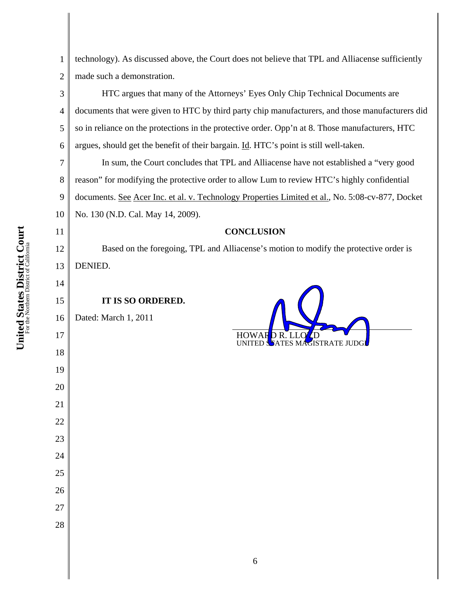3

4

5

6

11

12

13

14

15

17

18

19

20

21

22

23

24

25

26

27

28

1 2 technology). As discussed above, the Court does not believe that TPL and Alliacense sufficiently made such a demonstration.

HTC argues that many of the Attorneys' Eyes Only Chip Technical Documents are documents that were given to HTC by third party chip manufacturers, and those manufacturers did so in reliance on the protections in the protective order. Opp'n at 8. Those manufacturers, HTC argues, should get the benefit of their bargain. Id. HTC's point is still well-taken.

7 8 9 10 In sum, the Court concludes that TPL and Alliacense have not established a "very good reason" for modifying the protective order to allow Lum to review HTC's highly confidential documents. See Acer Inc. et al. v. Technology Properties Limited et al., No. 5:08-cv-877, Docket No. 130 (N.D. Cal. May 14, 2009).

# **CONCLUSION**

Based on the foregoing, TPL and Alliacense's motion to modify the protective order is DENIED.

**IT IS SO ORDERED.** 

16 Dated: March 1, 2011 **HOWAR**<br>UNITED 5ATES MAGISTRATE JUDG